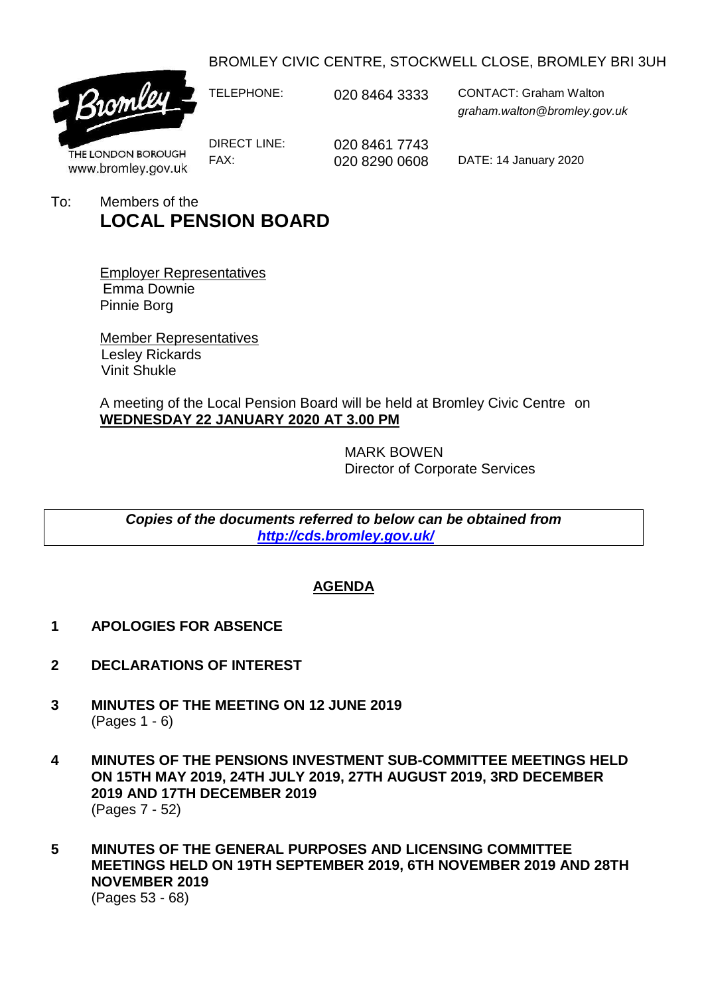BROMLEY CIVIC CENTRE, STOCKWELL CLOSE, BROMLEY BRI 3UH



TELEPHONE: 020 8464 3333 CONTACT: Graham Walton *graham.walton@bromley.gov.uk*

THE LONDON BOROUGH www.bromley.gov.uk DIRECT LINE: 020 8461 7743

FAX: 020 8290 0608 DATE: 14 January 2020

To: Members of the **LOCAL PENSION BOARD**

> Employer Representatives Emma Downie Pinnie Borg

Member Representatives Lesley Rickards Vinit Shukle

A meeting of the Local Pension Board will be held at Bromley Civic Centre on **WEDNESDAY 22 JANUARY 2020 AT 3.00 PM**

> MARK BOWEN Director of Corporate Services

*Copies of the documents referred to below can be obtained from <http://cds.bromley.gov.uk/>*

## **AGENDA**

- **1 APOLOGIES FOR ABSENCE**
- **2 DECLARATIONS OF INTEREST**
- **3 MINUTES OF THE MEETING ON 12 JUNE 2019** (Pages 1 - 6)
- **4 MINUTES OF THE PENSIONS INVESTMENT SUB-COMMITTEE MEETINGS HELD ON 15TH MAY 2019, 24TH JULY 2019, 27TH AUGUST 2019, 3RD DECEMBER 2019 AND 17TH DECEMBER 2019** (Pages 7 - 52)
- **5 MINUTES OF THE GENERAL PURPOSES AND LICENSING COMMITTEE MEETINGS HELD ON 19TH SEPTEMBER 2019, 6TH NOVEMBER 2019 AND 28TH NOVEMBER 2019**

(Pages 53 - 68)